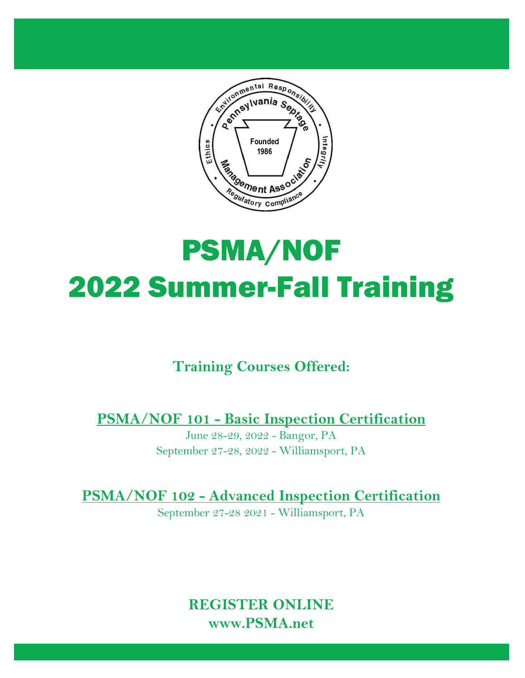

# PSMA/NOF 2022 Summer-Fall Training

# **Training Courses Offered:**

**PSMA/NOF 101 - Basic Inspection Certification**

June 28-29, 2022 - Bangor, PA September 27-28, 2022 - Williamsport, PA

**PSMA/NOF 102 - Advanced Inspection Certification**

September 27-28 2021 - Williamsport, PA

**REGISTER ONLINE www.PSMA.net**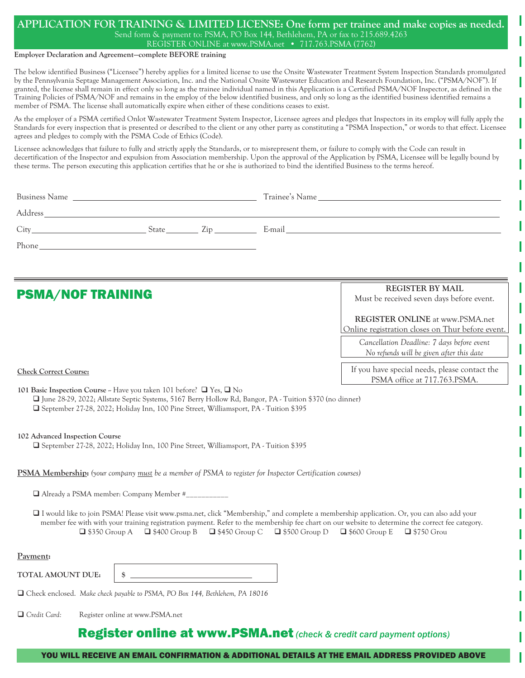#### **APPLICATION FOR TRAINING & LIMITED LICENSE: One form per trainee and make copies as needed.** Send form & payment to: PSMA, PO Box 144, Bethlehem, PA or fax to 215.689.4263 REGISTER ONLINE at www.PSMA.net • 717.763.PSMA (7762)

#### **Employer Declaration and Agreement—complete BEFORE training**

The below identified Business ("Licensee") hereby applies for a limited license to use the Onsite Wastewater Treatment System Inspection Standards promulgated by the Pennsylvania Septage Management Association, Inc. and the National Onsite Wastewater Education and Research Foundation, Inc. ("PSMA/NOF"). If granted, the license shall remain in effect only so long as the trainee individual named in this Application is a Certified PSMA/NOF Inspector, as defined in the Training Policies of PSMA/NOF and remains in the employ of the below identified business, and only so long as the identified business identified remains a member of PSMA. The license shall automatically expire when either of these conditions ceases to exist.

As the employer of a PSMA certified Onlot Wastewater Treatment System Inspector, Licensee agrees and pledges that Inspectors in its employ will fully apply the Standards for every inspection that is presented or described to the client or any other party as constituting a "PSMA Inspection," or words to that effect. Licensee agrees and pledges to comply with the PSMA Code of Ethics (Code).

Licensee acknowledges that failure to fully and strictly apply the Standards, or to misrepresent them, or failure to comply with the Code can result in decertification of the Inspector and expulsion from Association membership. Upon the approval of the Application by PSMA, Licensee will be legally bound by these terms. The person executing this application certifies that he or she is authorized to bind the identified Business to the terms hereof.

|                                                                                                                                                                                                                                |                                 |                                           |                                                                                                           | Address and the contract of the contract of the contract of the contract of the contract of the contract of the contract of the contract of the contract of the contract of the contract of the contract of the contract of th                                                                                                                                                                                                 |
|--------------------------------------------------------------------------------------------------------------------------------------------------------------------------------------------------------------------------------|---------------------------------|-------------------------------------------|-----------------------------------------------------------------------------------------------------------|--------------------------------------------------------------------------------------------------------------------------------------------------------------------------------------------------------------------------------------------------------------------------------------------------------------------------------------------------------------------------------------------------------------------------------|
|                                                                                                                                                                                                                                |                                 |                                           |                                                                                                           |                                                                                                                                                                                                                                                                                                                                                                                                                                |
| Phone has a state of the state of the state of the state of the state of the state of the state of the state of the state of the state of the state of the state of the state of the state of the state of the state of the st |                                 |                                           |                                                                                                           |                                                                                                                                                                                                                                                                                                                                                                                                                                |
| <b>PSMA/NOF TRAINING</b>                                                                                                                                                                                                       |                                 |                                           |                                                                                                           | <b>REGISTER BY MAIL</b><br>Must be received seven days before event.                                                                                                                                                                                                                                                                                                                                                           |
|                                                                                                                                                                                                                                |                                 |                                           |                                                                                                           | <b>REGISTER ONLINE at www.PSMA.net</b><br>Online registration closes on Thur before event.                                                                                                                                                                                                                                                                                                                                     |
|                                                                                                                                                                                                                                |                                 |                                           |                                                                                                           | Cancellation Deadline: 7 days before event<br>No refunds will be given after this date                                                                                                                                                                                                                                                                                                                                         |
| <b>Check Correct Course:</b>                                                                                                                                                                                                   |                                 |                                           |                                                                                                           | If you have special needs, please contact the<br>PSMA office at 717.763.PSMA.                                                                                                                                                                                                                                                                                                                                                  |
| 101 Basic Inspection Course - Have you taken 101 before? $\Box$ Yes, $\Box$ No<br>□ September 27-28, 2022; Holiday Inn, 100 Pine Street, Williamsport, PA - Tuition \$395                                                      |                                 |                                           | □ June 28-29, 2022; Allstate Septic Systems, 5167 Berry Hollow Rd, Bangor, PA - Tuition \$370 (no dinner) |                                                                                                                                                                                                                                                                                                                                                                                                                                |
| 102 Advanced Inspection Course<br>□ September 27-28, 2022; Holiday Inn, 100 Pine Street, Williamsport, PA - Tuition \$395                                                                                                      |                                 |                                           |                                                                                                           |                                                                                                                                                                                                                                                                                                                                                                                                                                |
| PSMA Membership: (your company must be a member of PSMA to register for Inspector Certification courses)                                                                                                                       |                                 |                                           |                                                                                                           |                                                                                                                                                                                                                                                                                                                                                                                                                                |
| □ Already a PSMA member: Company Member #___________                                                                                                                                                                           |                                 |                                           |                                                                                                           |                                                                                                                                                                                                                                                                                                                                                                                                                                |
|                                                                                                                                                                                                                                |                                 |                                           |                                                                                                           | □ I would like to join PSMA! Please visit www.psma.net, click "Membership," and complete a membership application. Or, you can also add your<br>member fee with with your training registration payment. Refer to the membership fee chart on our website to determine the correct fee category.<br>$\Box$ \$350 Group A $\Box$ \$400 Group B $\Box$ \$450 Group C $\Box$ \$500 Group D $\Box$ \$600 Group E $\Box$ \$750 Grou |
| Payment:                                                                                                                                                                                                                       |                                 |                                           |                                                                                                           |                                                                                                                                                                                                                                                                                                                                                                                                                                |
| TOTAL AMOUNT DUE:                                                                                                                                                                                                              | $s_{-}$                         | <u> 1989 - Johann Barn, mars et al. (</u> |                                                                                                           |                                                                                                                                                                                                                                                                                                                                                                                                                                |
| □ Check enclosed. Make check payable to PSMA, PO Box 144, Bethlehem, PA 18016                                                                                                                                                  |                                 |                                           |                                                                                                           |                                                                                                                                                                                                                                                                                                                                                                                                                                |
| □ Credit Card:                                                                                                                                                                                                                 | Register online at www.PSMA.net |                                           |                                                                                                           |                                                                                                                                                                                                                                                                                                                                                                                                                                |

#### Register online at www.PSMA.net *(check & credit card payment options)*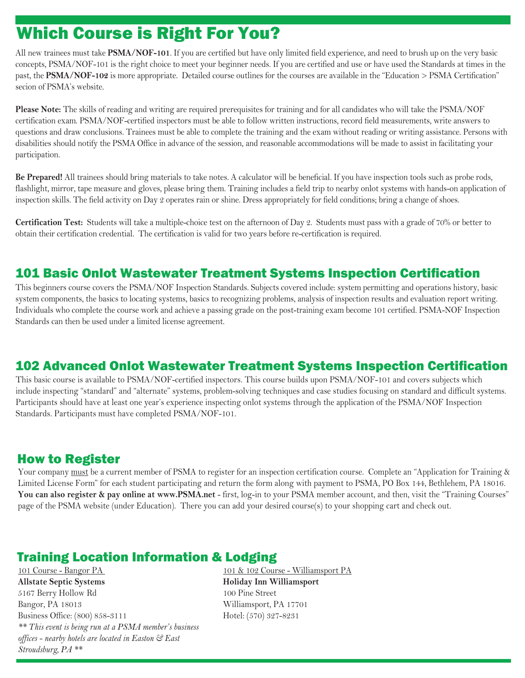# Which Course is Right For You?

All new trainees must take **PSMA/NOF-101**. If you are certified but have only limited field experience, and need to brush up on the very basic concepts, PSMA/NOF-101 is the right choice to meet your beginner needs. If you are certified and use or have used the Standards at times in the past, the **PSMA/NOF-102** is more appropriate. Detailed course outlines for the courses are available in the "Education > PSMA Certification" secion of PSMA's website.

**Please Note:** The skills of reading and writing are required prerequisites for training and for all candidates who will take the PSMA/NOF certification exam. PSMA/NOF-certified inspectors must be able to follow written instructions, record field measurements, write answers to questions and draw conclusions. Trainees must be able to complete the training and the exam without reading or writing assistance. Persons with disabilities should notify the PSMA Office in advance of the session, and reasonable accommodations will be made to assist in facilitating your participation.

**Be Prepared!** All trainees should bring materials to take notes. A calculator will be beneficial. If you have inspection tools such as probe rods, flashlight, mirror, tape measure and gloves, please bring them. Training includes a field trip to nearby onlot systems with hands-on application of inspection skills. The field activity on Day 2 operates rain or shine. Dress appropriately for field conditions; bring a change of shoes.

**Certification Test:** Students will take a multiple-choice test on the afternoon of Day 2. Students must pass with a grade of 70% or better to obtain their certification credential. The certification is valid for two years before re-certification is required.

### 101 Basic Onlot Wastewater Treatment Systems Inspection Certification

This beginners course covers the PSMA/NOF Inspection Standards. Subjects covered include: system permitting and operations history, basic system components, the basics to locating systems, basics to recognizing problems, analysis of inspection results and evaluation report writing. Individuals who complete the course work and achieve a passing grade on the post-training exam become 101 certified. PSMA-NOF Inspection Standards can then be used under a limited license agreement.

### 102 Advanced Onlot Wastewater Treatment Systems Inspection Certification

This basic course is available to PSMA/NOF-certified inspectors. This course builds upon PSMA/NOF-101 and covers subjects which include inspecting "standard" and "alternate" systems, problem-solving techniques and case studies focusing on standard and difficult systems. Participants should have at least one year's experience inspecting onlot systems through the application of the PSMA/NOF Inspection Standards. Participants must have completed PSMA/NOF-101.

#### How to Register

Your company must be a current member of PSMA to register for an inspection certification course. Complete an "Application for Training & Limited License Form" for each student participating and return the form along with payment to PSMA, PO Box 144, Bethlehem, PA 18016. You can also register & pay online at www.PSMA.net - first, log-in to your PSMA member account, and then, visit the "Training Courses" page of the PSMA website (under Education). There you can add your desired course(s) to your shopping cart and check out.

### Training Location Information & Lodging

101 Course - Bangor PA **Allstate Septic Systems** 5167 Berry Hollow Rd Bangor, PA 18013 Business Office: (800) 858-3111 *\*\* This event is being run at a PSMA member's business offices - nearby hotels are located in Easton & East Stroudsburg, PA \*\**

101 & 102 Course - Williamsport PA **Holiday Inn Williamsport** 100 Pine Street Williamsport, PA 17701 Hotel: (570) 327-8231